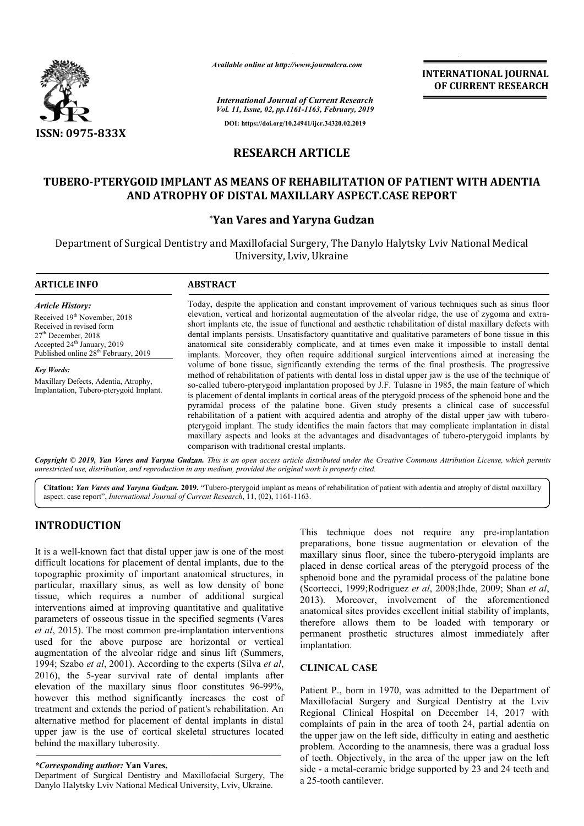

*Available online at http://www.journalcra.com*

# **RESEARCH ARTICLE**

## **TUBERO-PTERYGOID IMPLANT AS MEANS OF REHABILITATION OF PATIENT PATIENT WITH ADENTIA AND ATROPHY OF DISTAL MAXILLARY ASPECT.CASE REPORT**

## **\* \*Yan Vares and Yaryna Gudzan**

|                                                                                                                                                                                                                                                                                                                                                                                                                                                                                                                                                                                                                                                         | unuvic viime ui my.//www.jvurnuicru.com                                                                                                                                                                                                                                                                                                                                                                                                                                                                                                                                                                                                                                                                                                                                                   |                                                                                                                                    | <b>INTERNATIONAL JOURNAL</b><br>OF CURRENT RESEARCH                                                                                                                                                                                                                                                                                                                                                                                                                                                                  |
|---------------------------------------------------------------------------------------------------------------------------------------------------------------------------------------------------------------------------------------------------------------------------------------------------------------------------------------------------------------------------------------------------------------------------------------------------------------------------------------------------------------------------------------------------------------------------------------------------------------------------------------------------------|-------------------------------------------------------------------------------------------------------------------------------------------------------------------------------------------------------------------------------------------------------------------------------------------------------------------------------------------------------------------------------------------------------------------------------------------------------------------------------------------------------------------------------------------------------------------------------------------------------------------------------------------------------------------------------------------------------------------------------------------------------------------------------------------|------------------------------------------------------------------------------------------------------------------------------------|----------------------------------------------------------------------------------------------------------------------------------------------------------------------------------------------------------------------------------------------------------------------------------------------------------------------------------------------------------------------------------------------------------------------------------------------------------------------------------------------------------------------|
|                                                                                                                                                                                                                                                                                                                                                                                                                                                                                                                                                                                                                                                         |                                                                                                                                                                                                                                                                                                                                                                                                                                                                                                                                                                                                                                                                                                                                                                                           | <b>International Journal of Current Research</b><br>Vol. 11, Issue, 02, pp.1161-1163, February, 2019                               |                                                                                                                                                                                                                                                                                                                                                                                                                                                                                                                      |
| <b>ISSN: 0975-833X</b>                                                                                                                                                                                                                                                                                                                                                                                                                                                                                                                                                                                                                                  |                                                                                                                                                                                                                                                                                                                                                                                                                                                                                                                                                                                                                                                                                                                                                                                           | DOI: https://doi.org/10.24941/ijcr.34320.02.2019                                                                                   |                                                                                                                                                                                                                                                                                                                                                                                                                                                                                                                      |
|                                                                                                                                                                                                                                                                                                                                                                                                                                                                                                                                                                                                                                                         |                                                                                                                                                                                                                                                                                                                                                                                                                                                                                                                                                                                                                                                                                                                                                                                           | <b>RESEARCH ARTICLE</b>                                                                                                            |                                                                                                                                                                                                                                                                                                                                                                                                                                                                                                                      |
| TUBERO-PTERYGOID IMPLANT AS MEANS OF REHABILITATION OF PATIENT WITH ADENTIA                                                                                                                                                                                                                                                                                                                                                                                                                                                                                                                                                                             |                                                                                                                                                                                                                                                                                                                                                                                                                                                                                                                                                                                                                                                                                                                                                                                           | AND ATROPHY OF DISTAL MAXILLARY ASPECT.CASE REPORT                                                                                 |                                                                                                                                                                                                                                                                                                                                                                                                                                                                                                                      |
|                                                                                                                                                                                                                                                                                                                                                                                                                                                                                                                                                                                                                                                         |                                                                                                                                                                                                                                                                                                                                                                                                                                                                                                                                                                                                                                                                                                                                                                                           | <i><b>*Yan Vares and Yaryna Gudzan</b></i>                                                                                         |                                                                                                                                                                                                                                                                                                                                                                                                                                                                                                                      |
|                                                                                                                                                                                                                                                                                                                                                                                                                                                                                                                                                                                                                                                         |                                                                                                                                                                                                                                                                                                                                                                                                                                                                                                                                                                                                                                                                                                                                                                                           | Department of Surgical Dentistry and Maxillofacial Surgery, The Danylo Halytsky Lviv National Medical<br>University, Lviv, Ukraine |                                                                                                                                                                                                                                                                                                                                                                                                                                                                                                                      |
| <b>ARTICLE INFO</b>                                                                                                                                                                                                                                                                                                                                                                                                                                                                                                                                                                                                                                     | <b>ABSTRACT</b>                                                                                                                                                                                                                                                                                                                                                                                                                                                                                                                                                                                                                                                                                                                                                                           |                                                                                                                                    |                                                                                                                                                                                                                                                                                                                                                                                                                                                                                                                      |
| <b>Article History:</b><br>Received 19th November, 2018<br>Received in revised form<br>$27th$ December, 2018<br>Accepted 24 <sup>th</sup> January, 2019<br>Published online 28 <sup>th</sup> February, 2019                                                                                                                                                                                                                                                                                                                                                                                                                                             | Today, despite the application and constant improvement of various techniques such as sinus floor<br>elevation, vertical and horizontal augmentation of the alveolar ridge, the use of zygoma and extra-<br>short implants etc, the issue of functional and aesthetic rehabilitation of distal maxillary defects with<br>dental implants persists. Unsatisfactory quantitative and qualitative parameters of bone tissue in this<br>anatomical site considerably complicate, and at times even make it impossible to install dental<br>implants. Moreover, they often require additional surgical interventions aimed at increasing the<br>volume of bone tissue, significantly extending the terms of the final prosthesis. The progressive                                              |                                                                                                                                    |                                                                                                                                                                                                                                                                                                                                                                                                                                                                                                                      |
| <b>Key Words:</b><br>Maxillary Defects, Adentia, Atrophy,<br>Implantation, Tubero-pterygoid Implant.                                                                                                                                                                                                                                                                                                                                                                                                                                                                                                                                                    | method of rehabilitation of patients with dental loss in distal upper jaw is the use of the technique of<br>so-called tubero-pterygoid implantation proposed by J.F. Tulasne in 1985, the main feature of which<br>is placement of dental implants in cortical areas of the pterygoid process of the sphenoid bone and the<br>pyramidal process of the palatine bone. Given study presents a clinical case of successful<br>rehabilitation of a patient with acquired adentia and atrophy of the distal upper jaw with tubero-<br>pterygoid implant. The study identifies the main factors that may complicate implantation in distal<br>maxillary aspects and looks at the advantages and disadvantages of tubero-pterygoid implants by<br>comparison with traditional crestal implants. |                                                                                                                                    |                                                                                                                                                                                                                                                                                                                                                                                                                                                                                                                      |
| Copyright © 2019, Yan Vares and Yaryna Gudzan. This is an open access article distributed under the Creative Commons Attribution License, which permits<br>unrestricted use, distribution, and reproduction in any medium, provided the original work is properly cited.                                                                                                                                                                                                                                                                                                                                                                                |                                                                                                                                                                                                                                                                                                                                                                                                                                                                                                                                                                                                                                                                                                                                                                                           |                                                                                                                                    |                                                                                                                                                                                                                                                                                                                                                                                                                                                                                                                      |
| Citation: Yan Vares and Yaryna Gudzan. 2019. "Tubero-pterygoid implant as means of rehabilitation of patient with adentia and atrophy of distal maxillary<br>aspect. case report", International Journal of Current Research, 11, (02), 1161-1163.                                                                                                                                                                                                                                                                                                                                                                                                      |                                                                                                                                                                                                                                                                                                                                                                                                                                                                                                                                                                                                                                                                                                                                                                                           |                                                                                                                                    |                                                                                                                                                                                                                                                                                                                                                                                                                                                                                                                      |
| <b>INTRODUCTION</b>                                                                                                                                                                                                                                                                                                                                                                                                                                                                                                                                                                                                                                     |                                                                                                                                                                                                                                                                                                                                                                                                                                                                                                                                                                                                                                                                                                                                                                                           |                                                                                                                                    | This technique does not require any pre-implantation<br>preparations, bone tissue augmentation or elevation of the                                                                                                                                                                                                                                                                                                                                                                                                   |
| It is a well-known fact that distal upper jaw is one of the most<br>difficult locations for placement of dental implants, due to the<br>topographic proximity of important anatomical structures, in<br>particular, maxillary sinus, as well as low density of bone<br>tissue, which requires a number of additional surgical<br>interventions aimed at improving quantitative and qualitative<br>parameters of osseous tissue in the specified segments (Vares<br>et al, 2015). The most common pre-implantation interventions<br>used for the above purpose are horizontal or vertical<br>augmentation of the alveolar ridge and sinus lift (Summers, |                                                                                                                                                                                                                                                                                                                                                                                                                                                                                                                                                                                                                                                                                                                                                                                           | implantation.                                                                                                                      | maxillary sinus floor, since the tubero-pterygoid implants are<br>placed in dense cortical areas of the pterygoid process of the<br>sphenoid bone and the pyramidal process of the palatine bone<br>(Scortecci, 1999; Rodriguez et al, 2008; Ihde, 2009; Shan et al,<br>2013). Moreover, involvement of the aforementioned<br>anatomical sites provides excellent initial stability of implants,<br>therefore allows them to be loaded with temporary or<br>permanent prosthetic structures almost immediately after |
| 1994; Szabo et al, 2001). According to the experts (Silva et al,<br>2016), the 5-year survival rate of dental implants after                                                                                                                                                                                                                                                                                                                                                                                                                                                                                                                            |                                                                                                                                                                                                                                                                                                                                                                                                                                                                                                                                                                                                                                                                                                                                                                                           | <b>CLINICAL CASE</b>                                                                                                               |                                                                                                                                                                                                                                                                                                                                                                                                                                                                                                                      |
| elevation of the maxillary sinus floor constitutes 96-99%,<br>however this method significantly increases the cost of<br>treatment and extends the period of patient's rehabilitation. An<br>alternative method for placement of dental implants in distal<br>upper jaw is the use of cortical skeletal structures located<br>behind the maxillary tuberosity.                                                                                                                                                                                                                                                                                          |                                                                                                                                                                                                                                                                                                                                                                                                                                                                                                                                                                                                                                                                                                                                                                                           |                                                                                                                                    | Patient P., born in 1970, was admitted to the Department of<br>Maxillofacial Surgery and Surgical Dentistry at the Lviv<br>Regional Clinical Hospital on December 14, 2017 with<br>complaints of pain in the area of tooth 24, partial adentia on<br>the upper jaw on the left side, difficulty in eating and aesthetic<br>problem. According to the anamnesis, there was a gradual loss                                                                                                                             |
| *Corresponding author: Yan Vares,                                                                                                                                                                                                                                                                                                                                                                                                                                                                                                                                                                                                                       |                                                                                                                                                                                                                                                                                                                                                                                                                                                                                                                                                                                                                                                                                                                                                                                           |                                                                                                                                    | of teeth. Objectively, in the area of the upper jaw on the left<br>side - a metal-ceramic bridge supported by 23 and 24 teeth and                                                                                                                                                                                                                                                                                                                                                                                    |

## **INTRODUCTION**

#### *\*Corresponding author:* **Yan Vares,**

Department of Surgical Dentistry and Maxillofacial Surgery, The Danylo Halytsky Lviv National Medical University, Lviv, Ukraine.

#### **CLINICAL CASE**

Patient P., born in 1970, was admitted to the Department of Maxillofacial Surgery and Surgical Dentistry at the Lviv Regional Clinical Hospital on December 14, 2017 with complaints of pain in the area of tooth 24, partial adentia on the upper jaw on the left side, difficulty in eating and aesthetic problem. According to the anamnesis, there was a gradual loss the upper jaw on the left side, difficulty in eating and aesthetic problem. According to the anamnesis, there was a gradual loss of teeth. Objectively, in the area of the upper jaw on the left side - a metal-ceramic bridge supported by 23 and 24 teeth and a 25-tooth cantilever. prosthetic structures almost immediately after<br>n.<br>L CASE<br>born in 1970, was admitted to the Department of<br>al Surgery and Surgical Dentistry at the Lviv<br>Clinical Hospital on December 14, 2017 with<br>of pain in the area of toot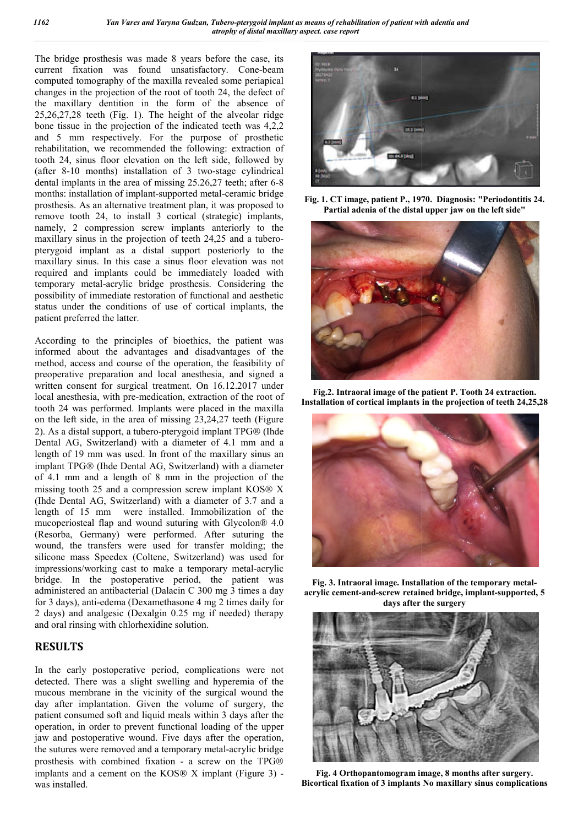The bridge prosthesis was made 8 years before the case, its current fixation was found unsatisfactory. Cone Cone-beam computed tomography of the maxilla revealed some periapical changes in the projection of the root of tooth 24, the defect of the maxillary dentition in the form of the absence of 25,26,27,28 teeth (Fig. 1). The height of the alveolar ridge bone tissue in the projection of the indicated teeth was 4,2,2 and 5 mm respectively. For the purpose of prosthetic rehabilitation, we recommended the following: extraction of tooth 24, sinus floor elevation on the left side, followed by rehabilitation, we recommended the following: extraction of tooth 24, sinus floor elevation on the left side, followed by (after 8-10 months) installation of 3 two-stage cylindrical dental implants in the area of missing 25.26,27 teeth; after 6 6-8 months: installation of implant-supported metal-ceramic bridge prosthesis. As an alternative treatment plan, it was proposed to remove tooth 24, to install 3 cortical (strategic) implants, namely, 2 compression screw implants anteriorly to the maxillary sinus in the projection of teeth 24,25 and a tuberopterygoid implant as a distal support posteriorly to the maxillary sinus. In this case a sinus floor elevation was not required and implants could be immediately loaded with temporary metal-acrylic bridge prosthesis. Considering the possibility of immediate restoration of functional and aesthetic status under the conditions of use of cortical implants, the patient preferred the latter.

According to the principles of bioethics, the patient was informed about the advantages and disadvantages of the method, access and course of the operation, the feasibility of preoperative preparation and local anesthesia, and signed a written consent for surgical treatment. On 16.12.2017 under local anesthesia, with pre-medication, extraction of the root of tooth 24 was performed. Implants were placed in the maxilla on the left side, in the area of missing 23,24,27 teeth (Figure 2). As a distal support, a tubero-pterygoid implant TPG Dental AG, Switzerland) with a diameter of 4.1 mm and a length of 19 mm was used. In front of the maxillary sinus an implant TPG® (Ihde Dental AG, Switzerland) with a diameter of 4.1 mm and a length of 8 mm in the projection of the missing tooth 25 and a compression screw implant KOS X (Ihde Dental AG, Switzerland) with a diameter of 3.7 and a length of 15 mm were installed. Immobilization of the mucoperiosteal flap and wound suturing with Glycolon® 4.0 (Resorba, Germany) were performed. After suturing the wound, the transfers were used for transfer molding; the silicone mass Speedex (Coltene, Switzerland) was used for silicone mass Speedex (Coltene, Switzerland) was used for impressions/working cast to make a temporary metal-acrylic bridge. In the postoperative period, the patient was administered an antibacterial (Dalacin C 300 mg 3 times a day for 3 days), anti-edema (Dexamethasone 4 mg 2 times daily for 2 days) and analgesic (Dexalgin 0.25 mg if needed) therapy and oral rinsing with chlorhexidine solution. porary metal-acrylic bridge prosthesis. Considering the<br>sibility of immediate restoration of functional and aesthetic<br>us under the conditions of use of cortical implants, the<br>ent preferred the latter.<br>ording to the princip

#### **RESULTS**

In the early postoperative period, complications were not detected. There was a slight swelling and hyperemia of the mucous membrane in the vicinity of the surgical wound the day after implantation. Given the volume of surgery, the patient consumed soft and liquid meals within 3 days after the operation, in order to prevent functional loading of the upper jaw and postoperative wound. Five days after the operation, jaw and postoperative wound. Five days after the operation, the sutures were removed and a temporary metal-acrylic bridge prosthesis with combined fixation - a screw on the TPG implants and a cement on the KOS $\otimes$  X implant (Figure 3) was installed.



**Fig. 1. CT image, patient P., 1970. 1970. Diagnosis: "Periodontitis 24. Partial adenia of the distal distal upper jaw on the left side"**



**Fig.2. Intraoral image of the patient P. Tooth 24 extraction. Installation of cortical implants in the projection of teeth 24,25,28**



**Fig.** 3. Intraoral image. Installation of the temporary metal**acrylic cement-and-screw retained bridge, implant-supported, 5 days after the surgery**



**Fig. 4 Orthopantomogram image, image, 8 months after surgery. Bicortical fixation of 3 implants No maxillary sinus complications**